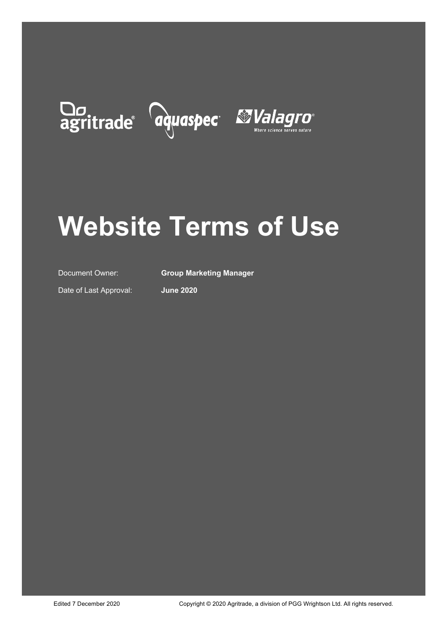# Do agritrade aquaspec *Mulagro*



## **Website Terms of Use**

Document Owner: **Group Marketing Manager**

Date of Last Approval: **June 2020**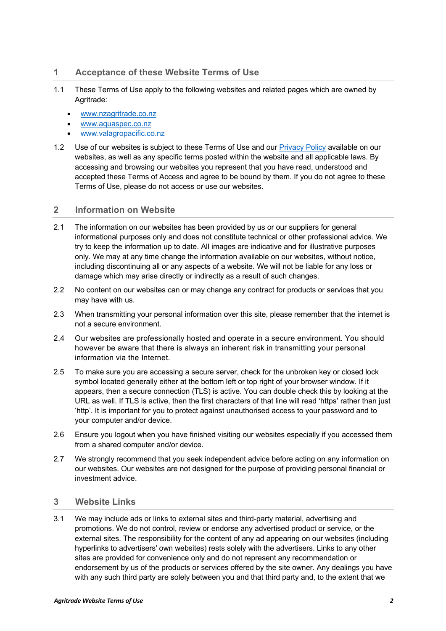#### **1 Acceptance of these Website Terms of Use**

- 1.1 These Terms of Use apply to the following websites and related pages which are owned by Agritrade:
	- www.nzagritrade.co.nz
	- www.aquaspec.co.nz
	- www.valagropacific.co.nz
- 1.2 Use of our websites is subject to these Terms of Use and our [Privacy Policy](https://www.nzagritrade.co.nz/Privacy-Policy) available on our websites, as well as any specific terms posted within the website and all applicable laws. By accessing and browsing our websites you represent that you have read, understood and accepted these Terms of Access and agree to be bound by them. If you do not agree to these Terms of Use, please do not access or use our websites.

#### **2 Information on Website**

- 2.1 The information on our websites has been provided by us or our suppliers for general informational purposes only and does not constitute technical or other professional advice. We try to keep the information up to date. All images are indicative and for illustrative purposes only. We may at any time change the information available on our websites, without notice, including discontinuing all or any aspects of a website. We will not be liable for any loss or damage which may arise directly or indirectly as a result of such changes.
- 2.2 No content on our websites can or may change any contract for products or services that you may have with us.
- 2.3 When transmitting your personal information over this site, please remember that the internet is not a secure environment.
- 2.4 Our websites are professionally hosted and operate in a secure environment. You should however be aware that there is always an inherent risk in transmitting your personal information via the Internet.
- 2.5 To make sure you are accessing a secure server, check for the unbroken key or closed lock symbol located generally either at the bottom left or top right of your browser window. If it appears, then a secure connection (TLS) is active. You can double check this by looking at the URL as well. If TLS is active, then the first characters of that line will read 'https' rather than just 'http'. It is important for you to protect against unauthorised access to your password and to your computer and/or device.
- 2.6 Ensure you logout when you have finished visiting our websites especially if you accessed them from a shared computer and/or device.
- 2.7 We strongly recommend that you seek independent advice before acting on any information on our websites. Our websites are not designed for the purpose of providing personal financial or investment advice.

#### **3 Website Links**

3.1 We may include ads or links to external sites and third-party material, advertising and promotions. We do not control, review or endorse any advertised product or service, or the external sites. The responsibility for the content of any ad appearing on our websites (including hyperlinks to advertisers' own websites) rests solely with the advertisers. Links to any other sites are provided for convenience only and do not represent any recommendation or endorsement by us of the products or services offered by the site owner. Any dealings you have with any such third party are solely between you and that third party and, to the extent that we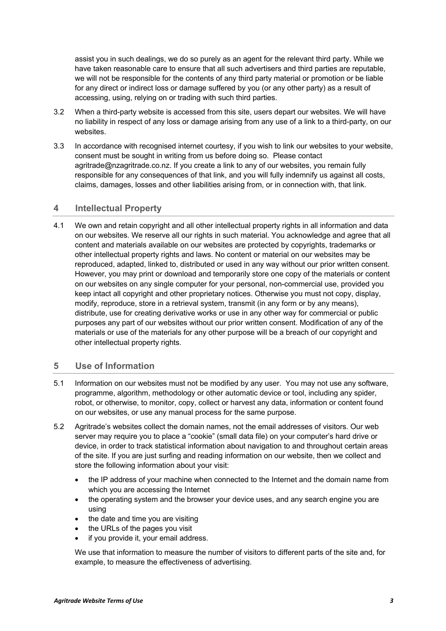assist you in such dealings, we do so purely as an agent for the relevant third party. While we have taken reasonable care to ensure that all such advertisers and third parties are reputable, we will not be responsible for the contents of any third party material or promotion or be liable for any direct or indirect loss or damage suffered by you (or any other party) as a result of accessing, using, relying on or trading with such third parties.

- 3.2 When a third-party website is accessed from this site, users depart our websites. We will have no liability in respect of any loss or damage arising from any use of a link to a third-party, on our websites.
- 3.3 In accordance with recognised internet courtesy, if you wish to link our websites to your website, consent must be sought in writing from us before doing so. Please contact agritrade@nzagritrade.co.nz. If you create a link to any of our websites, you remain fully responsible for any consequences of that link, and you will fully indemnify us against all costs, claims, damages, losses and other liabilities arising from, or in connection with, that link.

#### **4 Intellectual Property**

4.1 We own and retain copyright and all other intellectual property rights in all information and data on our websites. We reserve all our rights in such material. You acknowledge and agree that all content and materials available on our websites are protected by copyrights, trademarks or other intellectual property rights and laws. No content or material on our websites may be reproduced, adapted, linked to, distributed or used in any way without our prior written consent. However, you may print or download and temporarily store one copy of the materials or content on our websites on any single computer for your personal, non-commercial use, provided you keep intact all copyright and other proprietary notices. Otherwise you must not copy, display, modify, reproduce, store in a retrieval system, transmit (in any form or by any means), distribute, use for creating derivative works or use in any other way for commercial or public purposes any part of our websites without our prior written consent. Modification of any of the materials or use of the materials for any other purpose will be a breach of our copyright and other intellectual property rights.

#### **5 Use of Information**

- 5.1 Information on our websites must not be modified by any user. You may not use any software, programme, algorithm, methodology or other automatic device or tool, including any spider, robot, or otherwise, to monitor, copy, collect or harvest any data, information or content found on our websites, or use any manual process for the same purpose.
- 5.2 Agritrade's websites collect the domain names, not the email addresses of visitors. Our web server may require you to place a "cookie" (small data file) on your computer's hard drive or device, in order to track statistical information about navigation to and throughout certain areas of the site. If you are just surfing and reading information on our website, then we collect and store the following information about your visit:
	- the IP address of your machine when connected to the Internet and the domain name from which you are accessing the Internet
	- the operating system and the browser your device uses, and any search engine you are using
	- the date and time you are visiting
	- the URLs of the pages you visit
	- if you provide it, your email address.

We use that information to measure the number of visitors to different parts of the site and, for example, to measure the effectiveness of advertising.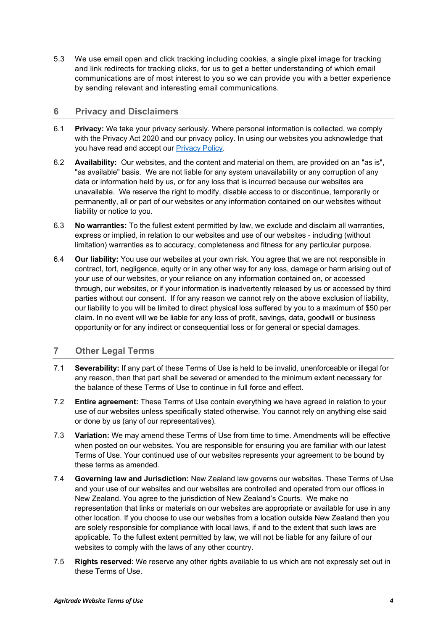5.3 We use email open and click tracking including cookies, a single pixel image for tracking and link redirects for tracking clicks, for us to get a better understanding of which email communications are of most interest to you so we can provide you with a better experience by sending relevant and interesting email communications.

#### **6 Privacy and Disclaimers**

- 6.1 **Privacy:** We take your privacy seriously. Where personal information is collected, we comply with the Privacy Act 2020 and our privacy policy. In using our websites you acknowledge that you have read and accept our [Privacy Policy.](https://www.nzagritrade.co.nz/Privacy-Policy)
- 6.2 **Availability:** Our websites, and the content and material on them, are provided on an "as is", "as available" basis. We are not liable for any system unavailability or any corruption of any data or information held by us, or for any loss that is incurred because our websites are unavailable. We reserve the right to modify, disable access to or discontinue, temporarily or permanently, all or part of our websites or any information contained on our websites without liability or notice to you.
- 6.3 **No warranties:** To the fullest extent permitted by law, we exclude and disclaim all warranties, express or implied, in relation to our websites and use of our websites - including (without limitation) warranties as to accuracy, completeness and fitness for any particular purpose.
- 6.4 **Our liability:** You use our websites at your own risk. You agree that we are not responsible in contract, tort, negligence, equity or in any other way for any loss, damage or harm arising out of your use of our websites, or your reliance on any information contained on, or accessed through, our websites, or if your information is inadvertently released by us or accessed by third parties without our consent. If for any reason we cannot rely on the above exclusion of liability, our liability to you will be limited to direct physical loss suffered by you to a maximum of \$50 per claim. In no event will we be liable for any loss of profit, savings, data, goodwill or business opportunity or for any indirect or consequential loss or for general or special damages.

#### **7 Other Legal Terms**

- 7.1 **Severability:** If any part of these Terms of Use is held to be invalid, unenforceable or illegal for any reason, then that part shall be severed or amended to the minimum extent necessary for the balance of these Terms of Use to continue in full force and effect.
- 7.2 **Entire agreement:** These Terms of Use contain everything we have agreed in relation to your use of our websites unless specifically stated otherwise. You cannot rely on anything else said or done by us (any of our representatives).
- 7.3 **Variation:** We may amend these Terms of Use from time to time. Amendments will be effective when posted on our websites. You are responsible for ensuring you are familiar with our latest Terms of Use. Your continued use of our websites represents your agreement to be bound by these terms as amended.
- 7.4 **Governing law and Jurisdiction:** New Zealand law governs our websites. These Terms of Use and your use of our websites and our websites are controlled and operated from our offices in New Zealand. You agree to the jurisdiction of New Zealand's Courts. We make no representation that links or materials on our websites are appropriate or available for use in any other location. If you choose to use our websites from a location outside New Zealand then you are solely responsible for compliance with local laws, if and to the extent that such laws are applicable. To the fullest extent permitted by law, we will not be liable for any failure of our websites to comply with the laws of any other country.
- 7.5 **Rights reserved**: We reserve any other rights available to us which are not expressly set out in these Terms of Use.